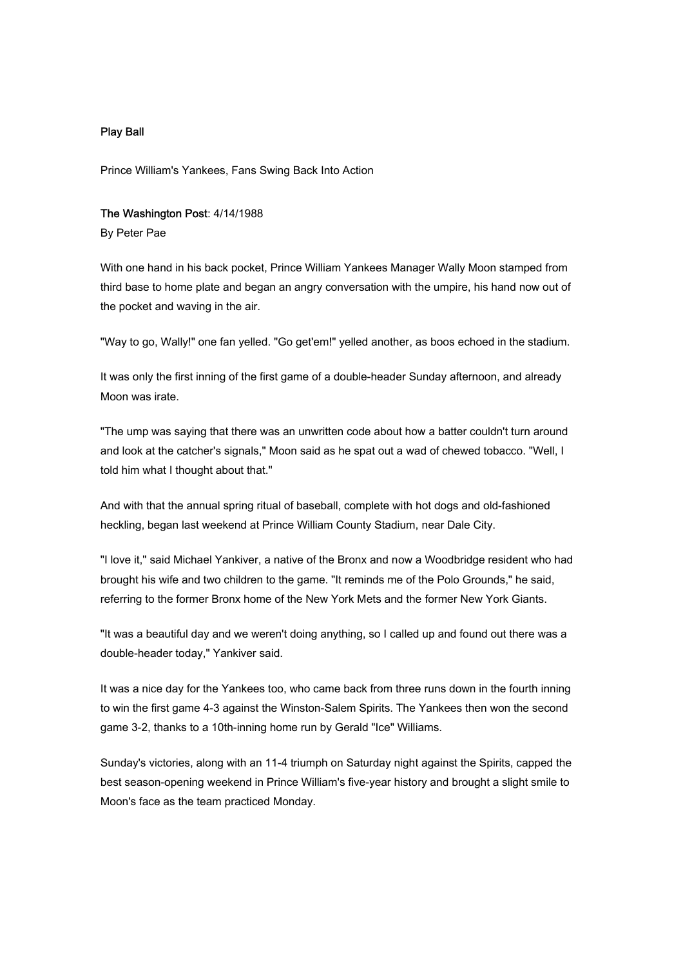## Play Ball

Prince William's Yankees, Fans Swing Back Into Action

## The Washington Post: 4/14/1988

By Peter Pae

With one hand in his back pocket, Prince William Yankees Manager Wally Moon stamped from third base to home plate and began an angry conversation with the umpire, his hand now out of the pocket and waving in the air.

"Way to go, Wally!" one fan yelled. "Go get'em!" yelled another, as boos echoed in the stadium.

It was only the first inning of the first game of a double-header Sunday afternoon, and already Moon was irate.

"The ump was saying that there was an unwritten code about how a batter couldn't turn around and look at the catcher's signals," Moon said as he spat out a wad of chewed tobacco. "Well, I told him what I thought about that."

And with that the annual spring ritual of baseball, complete with hot dogs and old-fashioned heckling, began last weekend at Prince William County Stadium, near Dale City.

"I love it," said Michael Yankiver, a native of the Bronx and now a Woodbridge resident who had brought his wife and two children to the game. "It reminds me of the Polo Grounds," he said, referring to the former Bronx home of the New York Mets and the former New York Giants.

"It was a beautiful day and we weren't doing anything, so I called up and found out there was a double-header today," Yankiver said.

It was a nice day for the Yankees too, who came back from three runs down in the fourth inning to win the first game 4-3 against the Winston-Salem Spirits. The Yankees then won the second game 3-2, thanks to a 10th-inning home run by Gerald "Ice" Williams.

Sunday's victories, along with an 11-4 triumph on Saturday night against the Spirits, capped the best season-opening weekend in Prince William's five-year history and brought a slight smile to Moon's face as the team practiced Monday.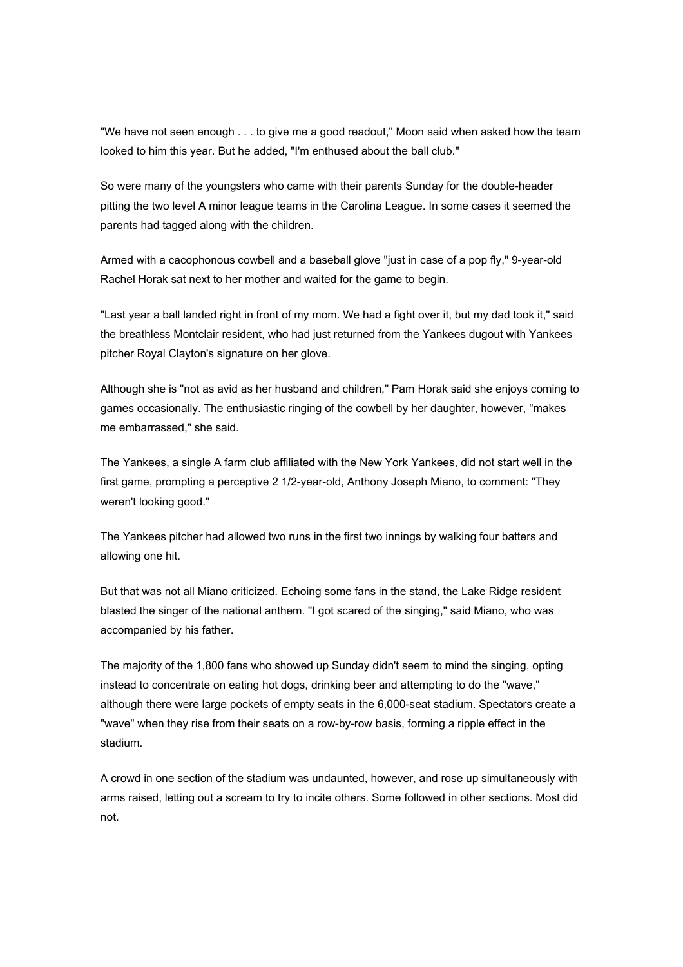"We have not seen enough . . . to give me a good readout," Moon said when asked how the team looked to him this year. But he added, "I'm enthused about the ball club."

So were many of the youngsters who came with their parents Sunday for the double-header pitting the two level A minor league teams in the Carolina League. In some cases it seemed the parents had tagged along with the children.

Armed with a cacophonous cowbell and a baseball glove "just in case of a pop fly," 9-year-old Rachel Horak sat next to her mother and waited for the game to begin.

"Last year a ball landed right in front of my mom. We had a fight over it, but my dad took it," said the breathless Montclair resident, who had just returned from the Yankees dugout with Yankees pitcher Royal Clayton's signature on her glove.

Although she is "not as avid as her husband and children," Pam Horak said she enjoys coming to games occasionally. The enthusiastic ringing of the cowbell by her daughter, however, "makes me embarrassed," she said.

The Yankees, a single A farm club affiliated with the New York Yankees, did not start well in the first game, prompting a perceptive 2 1/2-year-old, Anthony Joseph Miano, to comment: "They weren't looking good."

The Yankees pitcher had allowed two runs in the first two innings by walking four batters and allowing one hit.

But that was not all Miano criticized. Echoing some fans in the stand, the Lake Ridge resident blasted the singer of the national anthem. "I got scared of the singing," said Miano, who was accompanied by his father.

The majority of the 1,800 fans who showed up Sunday didn't seem to mind the singing, opting instead to concentrate on eating hot dogs, drinking beer and attempting to do the "wave," although there were large pockets of empty seats in the 6,000-seat stadium. Spectators create a "wave" when they rise from their seats on a row-by-row basis, forming a ripple effect in the stadium.

A crowd in one section of the stadium was undaunted, however, and rose up simultaneously with arms raised, letting out a scream to try to incite others. Some followed in other sections. Most did not.